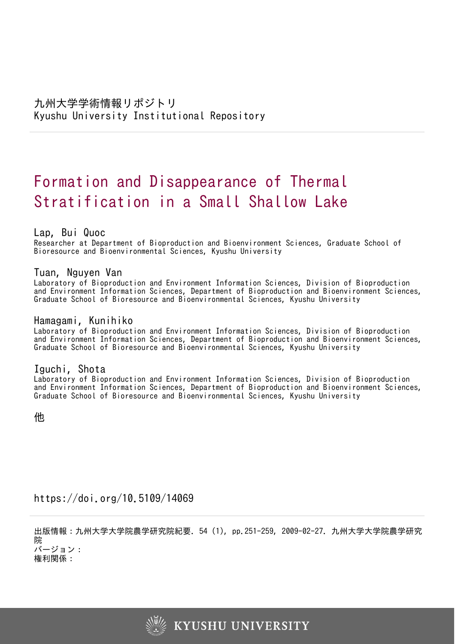# Formation and Disappearance of Thermal Stratification in a Small Shallow Lake

# Lap, Bui Quoc

Researcher at Department of Bioproduction and Bioenvironment Sciences, Graduate School of Bioresource and Bioenvironmental Sciences, Kyushu University

# Tuan, Nguyen Van

Laboratory of Bioproduction and Environment Information Sciences, Division of Bioproduction and Environment Information Sciences, Department of Bioproduction and Bioenvironment Sciences, Graduate School of Bioresource and Bioenvironmental Sciences, Kyushu University

# Hamagami, Kunihiko

Laboratory of Bioproduction and Environment Information Sciences, Division of Bioproduction and Environment Information Sciences, Department of Bioproduction and Bioenvironment Sciences, Graduate School of Bioresource and Bioenvironmental Sciences, Kyushu University

# Iguchi, Shota

Laboratory of Bioproduction and Environment Information Sciences, Division of Bioproduction and Environment Information Sciences, Department of Bioproduction and Bioenvironment Sciences, Graduate School of Bioresource and Bioenvironmental Sciences, Kyushu University

他

# https://doi.org/10.5109/14069

出版情報:九州大学大学院農学研究院紀要. 54 (1), pp.251-259, 2009-02-27. 九州大学大学院農学研究 院 バージョン:

権利関係:

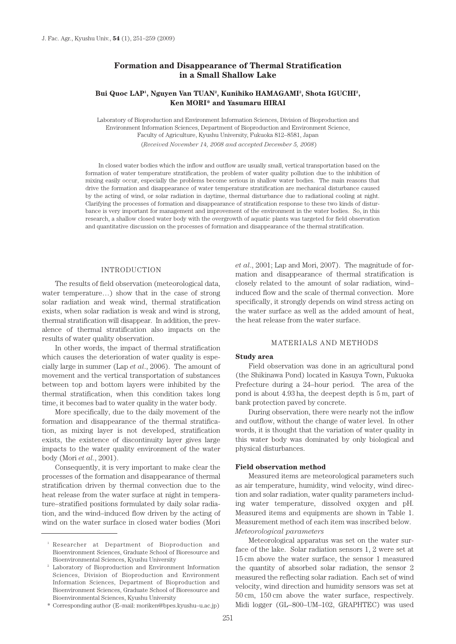# **Formation and Disappearance of Thermal Stratification in a Small Shallow Lake**

# Bui Quoc LAP<sup>1</sup>, Nguyen Van TUAN<sup>2</sup>, Kunihiko HAMAGAMI<sup>2</sup>, Shota IGUCHI<sup>2</sup>, **Ken MORI\* and Yasumaru HIRAI**

Laboratory of Bioproduction and Environment Information Sciences, Division of Bioproduction and Environment Information Sciences, Department of Bioproduction and Environment Science, Faculty of Agriculture, Kyushu University, Fukuoka 812–8581, Japan

(*Received November 14, 2008 and accepted December 5, 2008*)

In closed water bodies which the inflow and outflow are usually small, vertical transportation based on the formation of water temperature stratification, the problem of water quality pollution due to the inhibition of mixing easily occur, especially the problems become serious in shallow water bodies. The main reasons that drive the formation and disappearance of water temperature stratification are mechanical disturbance caused by the acting of wind, or solar radiation in daytime, thermal disturbance due to radiational cooling at night. Clarifying the processes of formation and disappearance of stratification response to these two kinds of disturbance is very important for management and improvement of the environment in the water bodies. So, in this research, a shallow closed water body with the overgrowth of aquatic plants was targeted for field observation and quantitative discussion on the processes of formation and disappearance of the thermal stratification.

## INTRODUCTION

The results of field observation (meteorological data, water temperature…) show that in the case of strong solar radiation and weak wind, thermal stratification exists, when solar radiation is weak and wind is strong, thermal stratification will disappear. In addition, the prevalence of thermal stratification also impacts on the results of water quality observation.

In other words, the impact of thermal stratification which causes the deterioration of water quality is especially large in summer (Lap *et al*., 2006). The amount of movement and the vertical transportation of substances between top and bottom layers were inhibited by the thermal stratification, when this condition takes long time, it becomes bad to water quality in the water body.

More specifically, due to the daily movement of the formation and disappearance of the thermal stratification, as mixing layer is not developed, stratification exists, the existence of discontinuity layer gives large impacts to the water quality environment of the water body (Mori *et al*., 2001).

Consequently, it is very important to make clear the processes of the formation and disappearance of thermal stratification driven by thermal convection due to the heat release from the water surface at night in temperature–stratified positions formulated by daily solar radiation, and the wind–induced flow driven by the acting of wind on the water surface in closed water bodies (Mori *et al*., 2001; Lap and Mori, 2007). The magnitude of formation and disappearance of thermal stratification is closely related to the amount of solar radiation, wind– induced flow and the scale of thermal convection. More specifically, it strongly depends on wind stress acting on the water surface as well as the added amount of heat, the heat release from the water surface.

## MATERIALS AND METHODS

# **Study area**

Field observation was done in an agricultural pond (the Shikinawa Pond) located in Kasuya Town, Fukuoka Prefecture during a 24–hour period. The area of the pond is about 4.93 ha, the deepest depth is 5 m, part of bank protection paved by concrete.

During observation, there were nearly not the inflow and outflow, without the change of water level. In other words, it is thought that the variation of water quality in this water body was dominated by only biological and physical disturbances.

#### **Field observation method**

Measured items are meteorological parameters such as air temperature, humidity, wind velocity, wind direction and solar radiation, water quality parameters including water temperature, dissolved oxygen and pH. Measured items and equipments are shown in Table 1. Measurement method of each item was inscribed below. *Meteorological parameters* 

Meteorological apparatus was set on the water surface of the lake. Solar radiation sensors 1, 2 were set at 15 cm above the water surface, the sensor 1 measured the quantity of absorbed solar radiation, the sensor 2 measured the reflecting solar radiation. Each set of wind velocity, wind direction and humidity sensors was set at 50 cm, 150 cm above the water surface, respectively. Midi logger (GL–800–UM–102, GRAPHTEC) was used

<sup>&</sup>lt;sup>1</sup> Researcher at Department of Bioproduction and Bioenvironment Sciences, Graduate School of Bioresource and Bioenvironmental Sciences, Kyushu University

<sup>2</sup> Laboratory of Bioproduction and Environment Information Sciences, Division of Bioproduction and Environment Information Sciences, Department of Bioproduction and Bioenvironment Sciences, Graduate School of Bioresource and Bioenvironmental Sciences, Kyushu University

<sup>\*</sup> Corresponding author (E–mail: moriken@bpes.kyushu–u.ac.jp)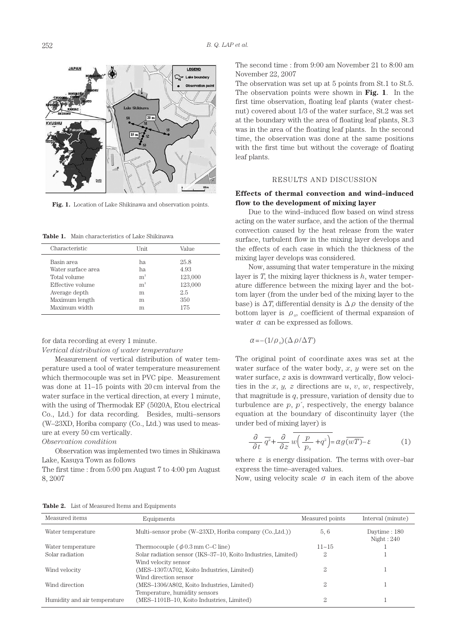

**Fig. 1.** Location of Lake Shikinawa and observation points.

**Table 1.** Main characteristics of Lake Shikinawa

| Characteristic     | Unit           | Value   |
|--------------------|----------------|---------|
| Basin area         | ha             | 25.8    |
| Water surface area | ha.            | 4.93    |
| Total volume       | m <sup>3</sup> | 123,000 |
| Effective volume   | m <sup>3</sup> | 123,000 |
| Average depth      | m              | 2.5     |
| Maximum length     | m              | 350     |
| Maximum width      | m              | 175     |

for data recording at every 1 minute.

*Vertical distribution of water temperature*

Measurement of vertical distribution of water temperature used a tool of water temperature measurement which thermocouple was set in PVC pipe. Measurement was done at 11–15 points with 20 cm interval from the water surface in the vertical direction, at every 1 minute, with the using of Thermodak EF (5020A, Etou electrical Co., Ltd.) for data recording. Besides, multi–sensors (W–23XD, Horiba company (Co., Ltd.) was used to measure at every 50 cm vertically.

*Observation condition*

Observation was implemented two times in Shikinawa Lake, Kasuya Town as follows

The first time : from 5:00 pm August 7 to 4:00 pm August 8, 2007

The second time : from 9:00 am November 21 to 8:00 am November 22, 2007

The observation was set up at 5 points from St.1 to St.5. The observation points were shown in **Fig. 1**. In the first time observation, floating leaf plants (water chestnut) covered about 1/3 of the water surface, St.2 was set at the boundary with the area of floating leaf plants, St.3 was in the area of the floating leaf plants. In the second time, the observation was done at the same positions with the first time but without the coverage of floating leaf plants.

## RESULTS AND DISCUSSION

# **Effects of thermal convection and wind–induced flow to the development of mixing layer**

Due to the wind–induced flow based on wind stress acting on the water surface, and the action of the thermal convection caused by the heat release from the water surface, turbulent flow in the mixing layer develops and the effects of each case in which the thickness of the mixing layer develops was considered.

Now, assuming that water temperature in the mixing layer is *T*, the mixing layer thickness is *h*, water temperature difference between the mixing layer and the bottom layer (from the under bed of the mixing layer to the base) is  $\Delta T$ , differential density is  $\Delta \rho$  the density of the bottom layer is  $\rho_{0}$ , coefficient of thermal expansion of water  $\alpha$  can be expressed as follows.

$$
\alpha = -(1/\rho_0)(\Delta \rho/\Delta T)
$$

The original point of coordinate axes was set at the water surface of the water body, *x*, *y* were set on the water surface,  $z$  axis is downward vertically, flow velocities in the *x*, *y*, *z* directions are *u*, *v*, *w*, respectively, that magnitude is *q*, pressure, variation of density due to turbulence are  $p, p'$ , respectively, the energy balance equation at the boundary of discontinuity layer (the under bed of mixing layer) is

$$
\frac{\partial}{\partial t}\overline{q^2} + \frac{\partial}{\partial z}\overline{w\left(\frac{p}{p_0} + q^2\right)} = \alpha g \overline{(wT)} - \varepsilon
$$
 (1)

where  $\varepsilon$  is energy dissipation. The terms with over-bar express the time–averaged values.

Now, using velocity scale  $\sigma$  in each item of the above

**Table 2.** List of Measured Items and Equipments

| Measured items               | Equipments                                                    | Measured points | Interval (minute)                |
|------------------------------|---------------------------------------------------------------|-----------------|----------------------------------|
| Water temperature            | Multi-sensor probe (W-23XD, Horiba company (Co., Ltd.))       | 5, 6            | Daytime : $180$<br>Night : $240$ |
| Water temperature            | Thermocouple ( $\phi$ 0.3 mm C–C line)                        | $11 - 15$       |                                  |
| Solar radiation              | Solar radiation sensor (IKS-37-10, Koito Industries, Limited) | 2               |                                  |
|                              | Wind velocity sensor                                          |                 |                                  |
| Wind velocity                | (MES-1307/A702, Koito Industries, Limited)                    |                 |                                  |
|                              | Wind direction sensor                                         |                 |                                  |
| Wind direction               | (MES-1306/A802, Koito Industries, Limited)                    | 2               |                                  |
|                              | Temperature, humidity sensors                                 |                 |                                  |
| Humidity and air temperature | (MES-1101B-10, Koito Industries, Limited)                     | 2               |                                  |
|                              |                                                               |                 |                                  |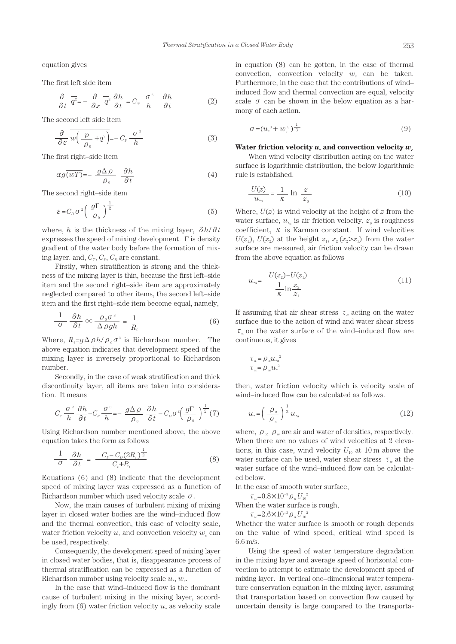equation gives

The first left side item

$$
\frac{\partial}{\partial t}\overline{q^2} = -\frac{\partial}{\partial z}\overline{q^2}\frac{\partial h}{\partial t} = C_r \frac{\sigma^2}{h} \frac{\partial h}{\partial t}
$$
 (2)

The second left side item

$$
\frac{\partial}{\partial z} w \left( \frac{p}{\rho_0} + q^2 \right) = -C_F \frac{\sigma^3}{h}
$$
 (3)

The first right–side item

$$
\alpha g \overline{(wT)} = -\frac{g\Delta\rho}{\rho_o} \frac{\partial h}{\partial t} \tag{4}
$$

The second right–side item

$$
\varepsilon = C_D \sigma^2 \left(\frac{g\Gamma}{\rho_0}\right)^{\frac{1}{2}}\tag{5}
$$

where, *h* is the thickness of the mixing layer, ∂*h*/∂*t* expresses the speed of mixing development.  $\Gamma$  is density gradient of the water body before the formation of mixing layer. and,  $C_T$ ,  $C_F$ ,  $C_D$  are constant.

Firstly, when stratification is strong and the thickness of the mixing layer is thin, because the first left–side item and the second right–side item are approximately neglected compared to other items, the second left–side item and the first right–side item become equal, namely,

$$
\frac{1}{\sigma} - \frac{\partial h}{\partial t} \propto \frac{\rho_0 \sigma^2}{\Delta \rho g h} = \frac{1}{R_i}
$$
 (6)

Where,  $R_i = g \Delta \rho h / \rho_0 \sigma^2$  is Richardson number. The above equation indicates that development speed of the mixing layer is inversely proportional to Richardson number.

Secondly, in the case of weak stratification and thick discontinuity layer, all items are taken into consideration. It means

$$
C_r \frac{\sigma^2}{h} \frac{\partial h}{\partial t} - C_r \frac{\sigma^3}{h} = -\frac{g \Delta \rho}{\rho_0} \frac{\partial h}{\partial t} - C_p \sigma^2 \left(\frac{g \Gamma}{\rho_0}\right)^{\frac{1}{2}} (7)
$$

Using Richardson number mentioned above, the above equation takes the form as follows

$$
\frac{1}{\sigma} \frac{\partial h}{\partial t} = \frac{C_F - C_D (2R_i)^{\frac{1}{2}}}{C_t + R_i}
$$
(8)

Equations (6) and (8) indicate that the development speed of mixing layer was expressed as a function of Richardson number which used velocity scale  $\sigma$ .

Now, the main causes of turbulent mixing of mixing layer in closed water bodies are the wind–induced flow and the thermal convection, this case of velocity scale, water friction velocity  $u_*$  and convection velocity  $w_*$  can be used, respectively.

Consequently, the development speed of mixing layer in closed water bodies, that is, disappearance process of thermal stratification can be expressed as a function of Richardson number using velocity scale  $u_*, w_c$ .

In the case that wind–induced flow is the dominant cause of turbulent mixing in the mixing layer, accordingly from  $(6)$  water friction velocity  $u_*$  as velocity scale in equation (8) can be gotten, in the case of thermal convection, convection velocity  $w_c$  can be taken. Furthermore, in the case that the contributions of wind– induced flow and thermal convection are equal, velocity scale  $\sigma$  can be shown in the below equation as a harmony of each action.

$$
\sigma = (u_*^3 + w_c^3)^{\frac{1}{3}} \tag{9}
$$

#### **Water friction velocity**  $u_*$  **and convection velocity**  $w_*$

When wind velocity distribution acting on the water surface is logarithmic distribution, the below logarithmic rule is established.

$$
\frac{U(z)}{u_{k_a}} = \frac{1}{\kappa} \ln \frac{z}{z_0}
$$
 (10)

Where,  $U(z)$  is wind velocity at the height of  $z$  from the water surface,  $u_{*a}$  is air friction velocity,  $z_a$  is roughness coefficient,  $\kappa$  is Karman constant. If wind velocities  $U(z_1)$ ,  $U(z_2)$  at the height  $z_1, z_2, (z_2 \geq z_1)$  from the water surface are measured, air friction velocity can be drawn from the above equation as follows

$$
u_{*a} = \frac{U(z_2) - U(z_1)}{\frac{1}{\kappa} \ln \frac{z_2}{z_1}}
$$
 (11)

If assuming that air shear stress  $\tau_a$  acting on the water surface due to the action of wind and water shear stress  $\tau_w$  on the water surface of the wind–induced flow are continuous, it gives

$$
\tau_a = \rho_a u_{*a}^2
$$

$$
\tau_w = \rho_w u_*^2
$$

then, water friction velocity which is velocity scale of wind–induced flow can be calculated as follows.

$$
u_* = \left(\frac{\rho_a}{\rho_w}\right)^{\frac{1}{2}} u_{*a}
$$
\n(12)

where,  $\rho_a$ ,  $\rho_w$  are air and water of densities, respectively. When there are no values of wind velocities at 2 elevations, in this case, wind velocity  $U_{10}$  at 10 m above the water surface can be used, water shear stress  $\tau_w$  at the water surface of the wind–induced flow can be calculated below.

In the case of smooth water surface,

$$
\tau_w = 0.8 \times 10^{-3} \rho_a U_{10}^2
$$

When the water surface is rough,

 $\tau_w$ =2.6×10<sup>-3</sup> $\rho_a U_0^2$ 

Whether the water surface is smooth or rough depends on the value of wind speed, critical wind speed is  $6.6$  m/s.

Using the speed of water temperature degradation in the mixing layer and average speed of horizontal convection to attempt to estimate the development speed of mixing layer. In vertical one–dimensional water temperature conservation equation in the mixing layer, assuming that transportation based on convection flow caused by uncertain density is large compared to the transporta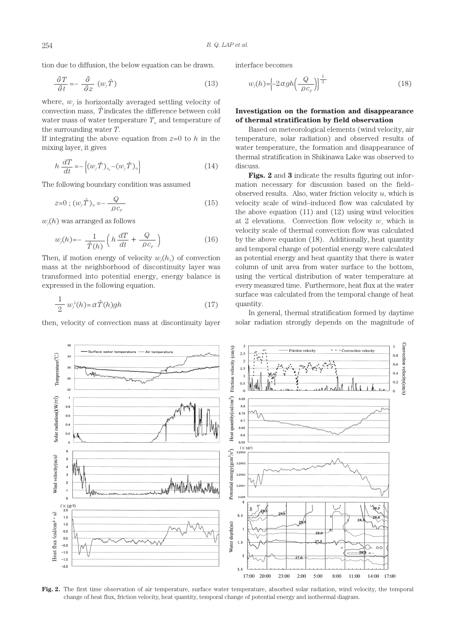tion due to diffusion, the below equation can be drawn.

$$
\frac{\partial T}{\partial t} = -\frac{\partial}{\partial z} \left( w_f \hat{T} \right) \tag{13}
$$

where,  $w_f$  is horizontally averaged settling velocity of convection mass,  $\hat{T}$  indicates the difference between cold water mass of water temperature  $T_w$  and temperature of the surrounding water *T*.

If integrating the above equation from  $z=0$  to h in the mixing layer, it gives

$$
h\,\frac{dT}{dt} = -\left\{ (w_f \hat{T})_{h_1} - (w_f \hat{T})_0 \right\} \tag{14}
$$

The following boundary condition was assumed

$$
z=0; (w_f \hat{T})_0 = -\frac{Q}{\rho c_p}
$$
 (15)

 $w_f(h)$  was arranged as follows

$$
w_j(h) = -\frac{1}{\hat{T}(h)} \left( h \frac{dT}{dt} + \frac{Q}{\rho c_p} \right) \tag{16}
$$

Then, if motion energy of velocity  $w_j(h_1)$  of convection mass at the neighborhood of discontinuity layer was transformed into potential energy, energy balance is expressed in the following equation.

$$
\frac{1}{2} w_j^2(h) = \alpha \hat{T}(h)gh \tag{17}
$$

then, velocity of convection mass at discontinuity layer

interface becomes

$$
w_j(h) = \left(-2\alpha gh \left(\frac{Q}{\rho c_p}\right)\right)^{\frac{1}{3}}
$$
\n(18)

## **Investigation on the formation and disappearance of thermal stratification by field observation**

Based on meteorological elements (wind velocity, air temperature, solar radiation) and observed results of water temperature, the formation and disappearance of thermal stratification in Shikinawa Lake was observed to discuss.

**Figs. 2** and **3** indicate the results figuring out information necessary for discussion based on the field– observed results. Also, water friction velocity  $u_*$  which is velocity scale of wind–induced flow was calculated by the above equation (11) and (12) using wind velocities at 2 elevations. Convection flow velocity  $w_c$  which is velocity scale of thermal convection flow was calculated by the above equation (18). Additionally, heat quantity and temporal change of potential energy were calculated as potential energy and heat quantity that there is water column of unit area from water surface to the bottom, using the vertical distribution of water temperature at every measured time. Furthermore, heat flux at the water surface was calculated from the temporal change of heat quantity.

In general, thermal stratification formed by daytime solar radiation strongly depends on the magnitude of



**Fig. 2.** The first time observation of air temperature, surface water temperature, absorbed solar radiation, wind velocity, the temporal change of heat flux, friction velocity, heat quantity, temporal change of potential energy and isothermal diagram.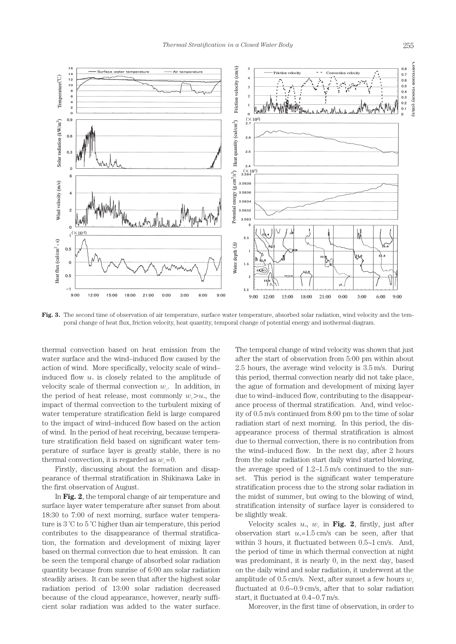

Fig. 3. The second time of observation of air temperature, surface water temperature, absorbed solar radiation, wind velocity and the temporal change of heat flux, friction velocity, heat quantity, temporal change of potential energy and isothermal diagram.

thermal convection based on heat emission from the water surface and the wind–induced flow caused by the action of wind. More specifically, velocity scale of wind– induced flow  $u_*$  is closely related to the amplitude of velocity scale of thermal convection  $w_c$ . In addition, in the period of heat release, most commonly  $w_c > u_*$ , the impact of thermal convection to the turbulent mixing of water temperature stratification field is large compared to the impact of wind–induced flow based on the action of wind. In the period of heat receiving, because temperature stratification field based on significant water temperature of surface layer is greatly stable, there is no thermal convection, it is regarded as  $w_c = 0$ .

Firstly, discussing about the formation and disappearance of thermal stratification in Shikinawa Lake in the first observation of August.

In **Fig. 2**, the temporal change of air temperature and surface layer water temperature after sunset from about 18:30 to 7:00 of next morning, surface water temperature is 3 ˚C to 5 ˚C higher than air temperature, this period contributes to the disappearance of thermal stratification, the formation and development of mixing layer based on thermal convection due to heat emission. It can be seen the temporal change of absorbed solar radiation quantity because from sunrise of 6:00 am solar radiation steadily arises. It can be seen that after the highest solar radiation period of 13:00 solar radiation decreased because of the cloud appearance, however, nearly sufficient solar radiation was added to the water surface.

The temporal change of wind velocity was shown that just after the start of observation from 5:00 pm within about 2.5 hours, the average wind velocity is 3.5 m/s. During this period, thermal convection nearly did not take place, the ague of formation and development of mixing layer due to wind–induced flow, contributing to the disappearance process of thermal stratification. And, wind velocity of 0.5 m/s continued from 8:00 pm to the time of solar radiation start of next morning. In this period, the disappearance process of thermal stratification is almost due to thermal convection, there is no contribution from the wind–induced flow. In the next day, after 2 hours from the solar radiation start daily wind started blowing, the average speed of  $1.2 \sim 1.5$  m/s continued to the sunset. This period is the significant water temperature stratification process due to the strong solar radiation in the midst of summer, but owing to the blowing of wind, stratification intensity of surface layer is considered to be slightly weak.

Velocity scales  $u_*$ ,  $w_c$  in Fig. 2, firstly, just after observation start  $u_* = 1.5$  cm/s can be seen, after that within 3 hours, it fluctuated between 0.5~1 cm/s. And, the period of time in which thermal convection at night was predominant, it is nearly 0, in the next day, based on the daily wind and solar radiation, it underwent at the amplitude of  $0.5$  cm/s. Next, after sunset a few hours  $w_c$ fluctuated at 0.6~0.9 cm/s, after that to solar radiation start, it fluctuated at 0.4~0.7 m/s.

Moreover, in the first time of observation, in order to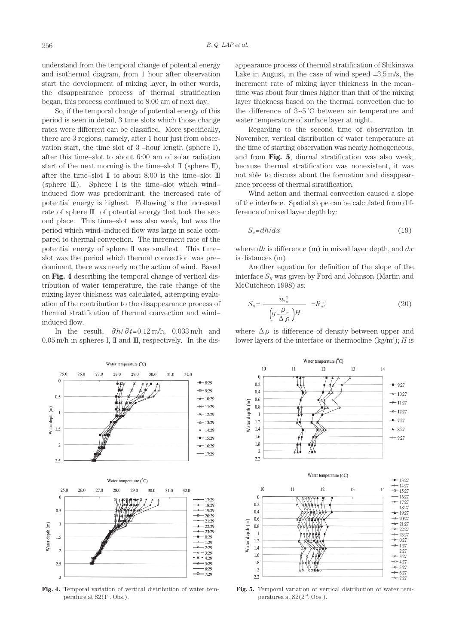understand from the temporal change of potential energy and isothermal diagram, from 1 hour after observation start the development of mixing layer, in other words, the disappearance process of thermal stratification began, this process continued to 8:00 am of next day.

So, if the temporal change of potential energy of this period is seen in detail, 3 time slots which those change rates were different can be classified. More specifically, there are 3 regions, namely, after 1 hour just from observation start, the time slot of 3 –hour length (sphere I), after this time–slot to about 6:00 am of solar radiation start of the next morning is the time–slot  $\mathbb I$  (sphere  $\mathbb I$ ), after the time–slot  $\mathbb I$  to about 8:00 is the time–slot  $\mathbb I$ (sphere  $\mathbb{I}$ ). Sphere I is the time-slot which windinduced flow was predominant, the increased rate of potential energy is highest. Following is the increased rate of sphere  $\mathbb I$  of potential energy that took the second place. This time–slot was also weak, but was the period which wind–induced flow was large in scale compared to thermal convection. The increment rate of the potential energy of sphere II was smallest. This time– slot was the period which thermal convection was pre– dominant, there was nearly no the action of wind. Based on **Fig. 4** describing the temporal change of vertical distribution of water temperature, the rate change of the mixing layer thickness was calculated, attempting evaluation of the contribution to the disappearance process of thermal stratification of thermal convection and wind– induced flow.

In the result, ∂*h*/∂*t*=0.12 m/h, 0.033 m/h and  $0.05$  m/h in spheres I, II and III, respectively. In the dis-

Water temperature (°C)

25.0

 $\Omega$ 

 $0.5$ 

 $\overline{1}$ 

 $1.5$ 

 $\overline{2}$ 

 $2.5$ 

25.0

 $\overline{0}$ 

 $0.5$ 

 $\overline{1}$ 

 $1.5$ 

 $\overline{z}$ 

 $2.5$ 

k

Water depth (m)

Water depth (m)

appearance process of thermal stratification of Shikinawa Lake in August, in the case of wind speed  $=3.5 \text{ m/s}$ , the increment rate of mixing layer thickness in the meantime was about four times higher than that of the mixing layer thickness based on the thermal convection due to the difference of 3~5 ˚C between air temperature and water temperature of surface layer at night.

Regarding to the second time of observation in November, vertical distribution of water temperature at the time of starting observation was nearly homogeneous, and from **Fig. 5**, diurnal stratification was also weak, because thermal stratification was nonexistent, it was not able to discuss about the formation and disappearance process of thermal stratification.

Wind action and thermal convection caused a slope of the interface. Spatial slope can be calculated from difference of mixed layer depth by:

$$
S_x = dh/dx \tag{19}
$$

where *dh* is difference (m) in mixed layer depth, and *dx*  is distances (m).

Another equation for definition of the slope of the interface  $S_H$  was given by Ford and Johnson (Martin and McCutcheon 1998) as:

$$
S_H = \frac{u_{\ast w}^2}{\left(g \frac{\rho_w}{\Delta \rho}\right)H} = R_{\ast H}^{-1} \tag{20}
$$

where  $\Delta \rho$  is difference of density between upper and lower layers of the interface or thermocline  $(kg/m<sup>3</sup>)$ ; *H* is



**Fig. 4.** Temporal variation of vertical distribution of water temperature at  $S2(1^{\text{st}}. \text{Obs.})$ .



**Fig. 5.** Temporal variation of vertical distribution of water temperaturea at  $S2(2<sup>nd</sup>. Obs.).$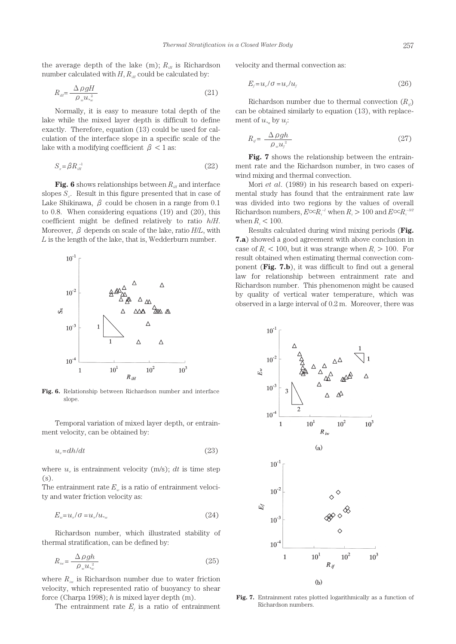the average depth of the lake  $(m)$ ;  $R_{\mu}$  is Richardson number calculated with  $H$ ,  $R_{\mu}$  could be calculated by:

$$
R_{\rm inf} = \frac{\Delta \rho g H}{\rho_w u_{\rm w}^2} \tag{21}
$$

Normally, it is easy to measure total depth of the lake while the mixed layer depth is difficult to define exactly. Therefore, equation (13) could be used for calculation of the interface slope in a specific scale of the lake with a modifying coefficient  $\beta$  < 1 as:

$$
S_x = \beta R_{iH}^{-1} \tag{22}
$$

**Fig. 6** shows relationships between  $R_{\mu}$  and interface slopes  $S_x$ . Result in this figure presented that in case of Lake Shikinawa,  $\beta$  could be chosen in a range from 0.1 to 0.8. When considering equations (19) and (20), this coefficient might be defined relatively to ratio *h*/*H*. Moreover,  $\beta$  depends on scale of the lake, ratio  $H/L$ , with *L* is the length of the lake, that is, Wedderburn number.



**Fig. 6.** Relationship between Richardson number and interface slope.

Temporal variation of mixed layer depth, or entrainment velocity, can be obtained by:

$$
u_e = dh/dt \tag{23}
$$

where  $u_e$  is entrainment velocity (m/s);  $dt$  is time step (s).

The entrainment rate  $E_w$  is a ratio of entrainment velocity and water friction velocity as:

$$
E_w = u_e / \sigma = u_e / u_{\nu} \tag{24}
$$

Richardson number, which illustrated stability of thermal stratification, can be defined by:

$$
R_{iw} = \frac{\Delta \rho g h}{\rho_w u_{*w}^2} \tag{25}
$$

where  $R_{in}$  is Richardson number due to water friction velocity, which represented ratio of buoyancy to shear force (Charpa 1998); *h* is mixed layer depth (m).

The entrainment rate  $E_f$  is a ratio of entrainment

velocity and thermal convection as:

$$
E_f = u_e / \sigma = u_e / u_f \tag{26}
$$

Richardson number due to thermal convection (*Rif*) can be obtained similarly to equation (13), with replacement of  $u_{*a}$  by  $u_j$ :

$$
R_{ij} = \frac{\Delta \rho g h}{\rho_w u_j^2} \tag{27}
$$

**Fig. 7** shows the relationship between the entrainment rate and the Richardson number, in two cases of wind mixing and thermal convection.

Mori *et al*. (1989) in his research based on experimental study has found that the entrainment rate law was divided into two regions by the values of overall Richardson numbers,  $E \in R_i^{-1}$  when  $R_i > 100$  and  $E \in R_i^{-3/2}$ when  $R_i < 100$ .

Results calculated during wind mixing periods (**Fig. 7.a**) showed a good agreement with above conclusion in case of  $R_i < 100$ , but it was strange when  $R_i > 100$ . For result obtained when estimating thermal convection component (**Fig. 7.b**), it was difficult to find out a general law for relationship between entrainment rate and Richardson number. This phenomenon might be caused by quality of vertical water temperature, which was observed in a large interval of 0.2 m. Moreover, there was



**Fig. 7.** Entrainment rates plotted logarithmically as a function of Richardson numbers.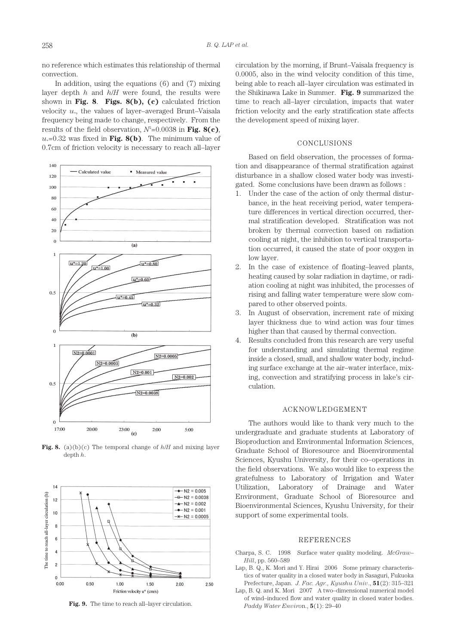no reference which estimates this relationship of thermal convection.

In addition, using the equations (6) and (7) mixing layer depth *h* and *h*/*H* were found, the results were shown in **Fig. 8**. **Figs. 8(b), (c)** calculated friction velocity  $u_*$ , the values of layer–averaged Brunt–Vaisala frequency being made to change, respectively. From the results of the field observation,  $N^2=0.0038$  in **Fig. 8(c)**,  $u_*$ =0.32 was fixed in **Fig. 8(b)**. The minimum value of 0.7cm of friction velocity is necessary to reach all–layer



**Fig. 8.** (a)(b)(c) The temporal change of *h*/*H* and mixing layer depth *h*.



Fig. 9. The time to reach all–layer circulation.

circulation by the morning, if Brunt–Vaisala frequency is 0.0005, also in the wind velocity condition of this time, being able to reach all–layer circulation was estimated in the Shikinawa Lake in Summer. **Fig. 9** summarized the time to reach all–layer circulation, impacts that water friction velocity and the early stratification state affects the development speed of mixing layer.

## CONCLUSIONS

Based on field observation, the processes of formation and disappearance of thermal stratification against disturbance in a shallow closed water body was investigated. Some conclusions have been drawn as follows :

- 1. Under the case of the action of only thermal disturbance, in the heat receiving period, water temperature differences in vertical direction occurred, thermal stratification developed. Stratification was not broken by thermal convection based on radiation cooling at night, the inhibition to vertical transportation occurred, it caused the state of poor oxygen in low layer.
- 2. In the case of existence of floating–leaved plants, heating caused by solar radiation in daytime, or radiation cooling at night was inhibited, the processes of rising and falling water temperature were slow compared to other observed points.
- In August of observation, increment rate of mixing layer thickness due to wind action was four times higher than that caused by thermal convection.
- 4. Results concluded from this research are very useful for understanding and simulating thermal regime inside a closed, small, and shallow water body, including surface exchange at the air–water interface, mixing, convection and stratifying process in lake's circulation.

#### ACKNOWLEDGEMENT

The authors would like to thank very much to the undergraduate and graduate students at Laboratory of Bioproduction and Environmental Information Sciences, Graduate School of Bioresource and Bioenvironmental Sciences, Kyushu University, for their co–operations in the field observations. We also would like to express the gratefulness to Laboratory of Irrigation and Water Utilization, Laboratory of Drainage and Water Environment, Graduate School of Bioresource and Bioenvironmental Sciences, Kyushu University, for their support of some experimental tools.

## REFERENCES

- Charpa, S. C. 1998 Surface water quality modeling. *McGraw– Hill*, pp. 560–589
- Lap, B. Q., K. Mori and Y. Hirai 2006 Some primary characteristics of water quality in a closed water body in Sasaguri, Fukuoka Prefecture, Japan. *J. Fac. Agr., Kyushu Univ*., **51**(2): 315–321
- Lap, B. Q. and K. Mori 2007 A two–dimensional numerical model of wind–induced flow and water quality in closed water bodies. *Paddy Water Enviro*n., **5**(1): 29–40